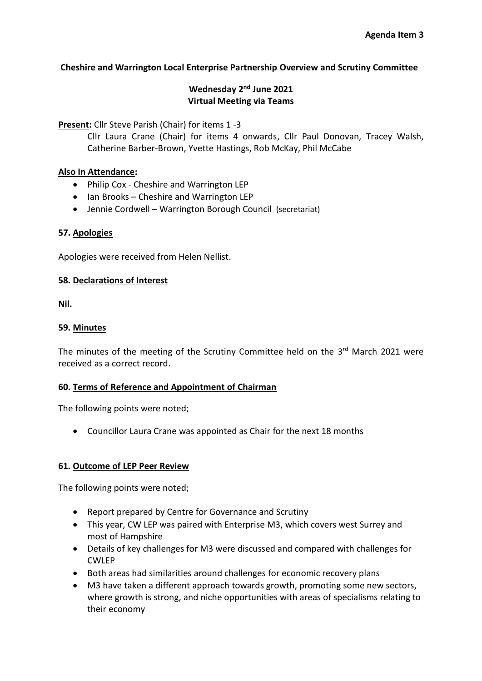## **Cheshire and Warrington Local Enterprise Partnership Overview and Scrutiny Committee**

## **Wednesday 2<sup>nd</sup> June 2021 Virtual Meeting via Teams**

**Present:** Cllr Steve Parish (Chair) for items 1 -3

Cllr Laura Crane (Chair) for items 4 onwards, Cllr Paul Donovan, Tracey Walsh, Catherine Barber-Brown, Yvette Hastings, Rob McKay, Phil McCabe

## **Also In Attendance:**

- Philip Cox Cheshire and Warrington LEP
- Ian Brooks Cheshire and Warrington LEP
- Jennie Cordwell Warrington Borough Council (secretariat)

## **57. Apologies**

Apologies were received from Helen Nellist.

#### **58. Declarations of Interest**

**Nil.** 

#### **59. Minutes**

The minutes of the meeting of the Scrutiny Committee held on the 3<sup>rd</sup> March 2021 were received as a correct record.

#### **60. Terms of Reference and Appointment of Chairman**

The following points were noted;

• Councillor Laura Crane was appointed as Chair for the next 18 months

## **61. Outcome of LEP Peer Review**

The following points were noted;

- Report prepared by Centre for Governance and Scrutiny
- This year, CW LEP was paired with Enterprise M3, which covers west Surrey and most of Hampshire
- Details of key challenges for M3 were discussed and compared with challenges for CWLEP
- Both areas had similarities around challenges for economic recovery plans
- M3 have taken a different approach towards growth, promoting some new sectors, where growth is strong, and niche opportunities with areas of specialisms relating to their economy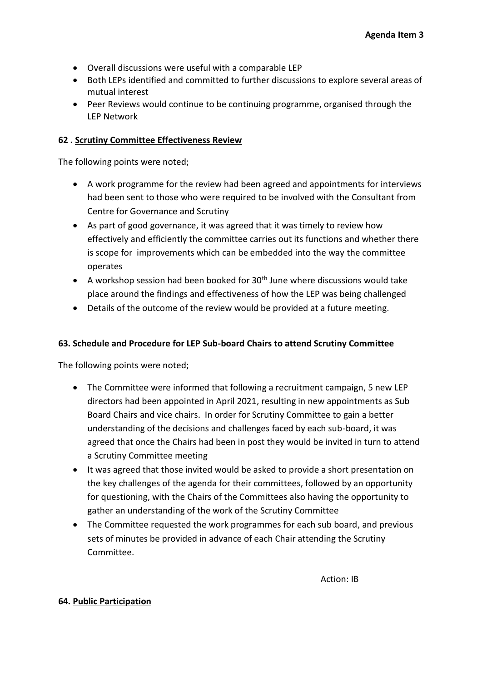- Overall discussions were useful with a comparable LEP
- Both LEPs identified and committed to further discussions to explore several areas of mutual interest
- Peer Reviews would continue to be continuing programme, organised through the LEP Network

## **62 . Scrutiny Committee Effectiveness Review**

The following points were noted;

- A work programme for the review had been agreed and appointments for interviews had been sent to those who were required to be involved with the Consultant from Centre for Governance and Scrutiny
- As part of good governance, it was agreed that it was timely to review how effectively and efficiently the committee carries out its functions and whether there is scope for improvements which can be embedded into the way the committee operates
- A workshop session had been booked for  $30<sup>th</sup>$  June where discussions would take place around the findings and effectiveness of how the LEP was being challenged
- Details of the outcome of the review would be provided at a future meeting.

## **63. Schedule and Procedure for LEP Sub-board Chairs to attend Scrutiny Committee**

The following points were noted;

- The Committee were informed that following a recruitment campaign, 5 new LEP directors had been appointed in April 2021, resulting in new appointments as Sub Board Chairs and vice chairs. In order for Scrutiny Committee to gain a better understanding of the decisions and challenges faced by each sub-board, it was agreed that once the Chairs had been in post they would be invited in turn to attend a Scrutiny Committee meeting
- It was agreed that those invited would be asked to provide a short presentation on the key challenges of the agenda for their committees, followed by an opportunity for questioning, with the Chairs of the Committees also having the opportunity to gather an understanding of the work of the Scrutiny Committee
- The Committee requested the work programmes for each sub board, and previous sets of minutes be provided in advance of each Chair attending the Scrutiny Committee.

#### **64. Public Participation**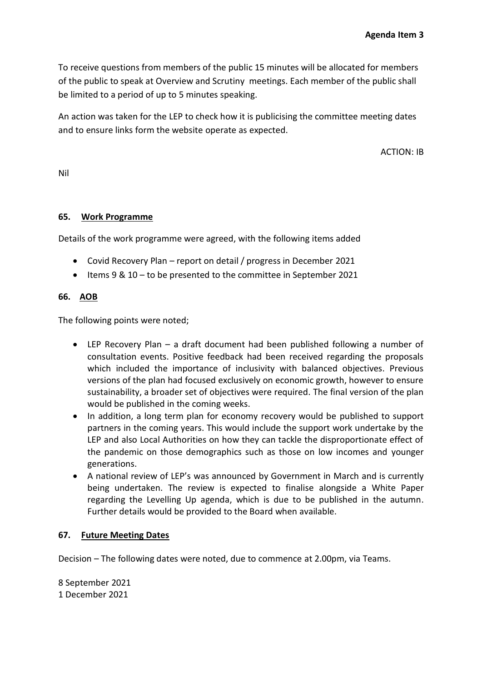To receive questions from members of the public 15 minutes will be allocated for members of the public to speak at Overview and Scrutiny meetings. Each member of the public shall be limited to a period of up to 5 minutes speaking.

An action was taken for the LEP to check how it is publicising the committee meeting dates and to ensure links form the website operate as expected.

ACTION: IB

Nil

#### **65. Work Programme**

Details of the work programme were agreed, with the following items added

- Covid Recovery Plan report on detail / progress in December 2021
- Items 9 & 10 to be presented to the committee in September 2021

#### **66. AOB**

The following points were noted;

- LEP Recovery Plan a draft document had been published following a number of consultation events. Positive feedback had been received regarding the proposals which included the importance of inclusivity with balanced objectives. Previous versions of the plan had focused exclusively on economic growth, however to ensure sustainability, a broader set of objectives were required. The final version of the plan would be published in the coming weeks.
- In addition, a long term plan for economy recovery would be published to support partners in the coming years. This would include the support work undertake by the LEP and also Local Authorities on how they can tackle the disproportionate effect of the pandemic on those demographics such as those on low incomes and younger generations.
- A national review of LEP's was announced by Government in March and is currently being undertaken. The review is expected to finalise alongside a White Paper regarding the Levelling Up agenda, which is due to be published in the autumn. Further details would be provided to the Board when available.

#### **67. Future Meeting Dates**

Decision – The following dates were noted, due to commence at 2.00pm, via Teams.

8 September 2021 1 December 2021